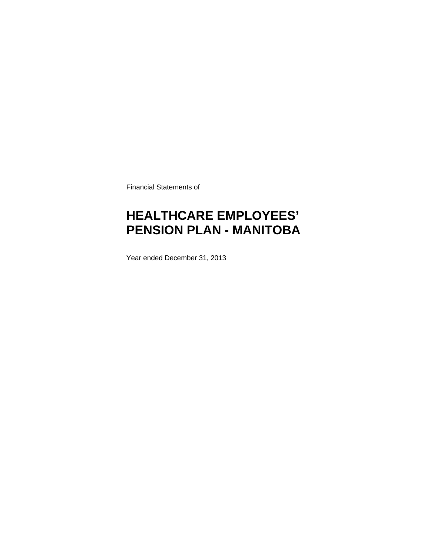Financial Statements of

# **HEALTHCARE EMPLOYEES' PENSION PLAN - MANITOBA**

Year ended December 31, 2013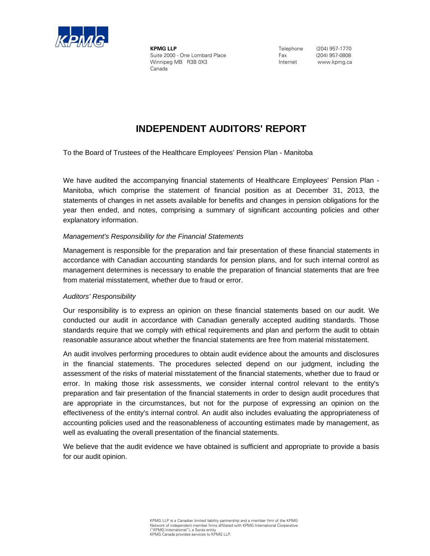

**KPMG LLP** Suite 2000 - One Lombard Place Winnipeg MB R3B 0X3 Canada

 Telephone (204) 957-1770 Fax (204) 957-0808 Internet www.kpmg.ca

# **INDEPENDENT AUDITORS' REPORT**

To the Board of Trustees of the Healthcare Employees' Pension Plan - Manitoba

Manitoba, which comprise the statement of financial position as at December 31, 2013, the statements of changes in net assets available for benefits and changes in pension obligations for the We have audited the accompanying financial statements of Healthcare Employees' Pension Plan year then ended, and notes, comprising a summary of significant accounting policies and other explanatory information.

### *Management's Responsibility for the Financial Statements*

Management is responsible for the preparation and fair presentation of these financial statements in accordance with Canadian accounting standards for pension plans, and for such internal control as management determines is necessary to enable the preparation of financial statements that are free from material misstatement, whether due to fraud or error.

### *Auditors' Responsibility*

Our responsibility is to express an opinion on these financial statements based on our audit. We conducted our audit in accordance with Canadian generally accepted auditing standards. Those standards require that we comply with ethical requirements and plan and perform the audit to obtain reasonable assurance about whether the financial statements are free from material misstatement.

An audit involves performing procedures to obtain audit evidence about the amounts and disclosures in the financial statements. The procedures selected depend on our judgment, including the assessment of the risks of material misstatement of the financial statements, whether due to fraud or error. In making those risk assessments, we consider internal control relevant to the entity's preparation and fair presentation of the financial statements in order to design audit procedures that are appropriate in the circumstances, but not for the purpose of expressing an opinion on the effectiveness of the entity's internal control. An audit also includes evaluating the appropriateness of accounting policies used and the reasonableness of accounting estimates made by management, as well as evaluating the overall presentation of the financial statements.

We believe that the audit evidence we have obtained is sufficient and appropriate to provide a basis for our audit opinion.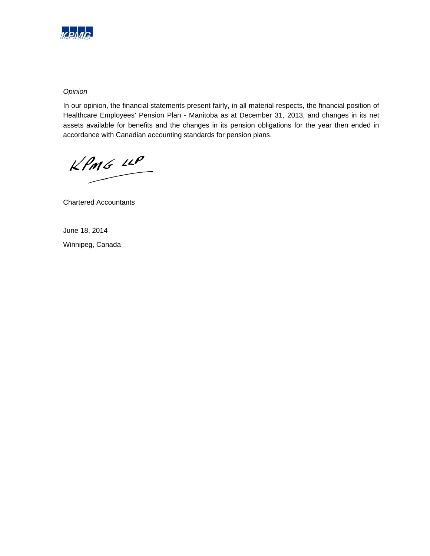

### *Opinion*

In our opinion, the financial statements present fairly, in all material respects, the financial position of Healthcare Employees' Pension Plan - Manitoba as at December 31, 2013, and changes in its net assets available for benefits and the changes in its pension obligations for the year then ended in accordance with Canadian accounting standards for pension plans.

 $KPMG$  11P

Chartered Accountants

June 18, 2014 Winnipeg, Canada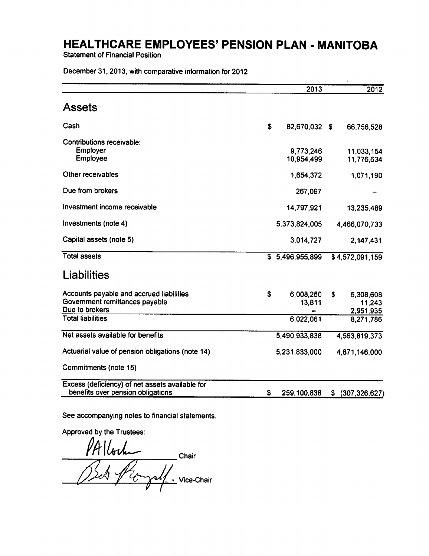**Statement of Financial Position** 

December 31, 2013, with comparative information for 2012

|                                                                                              |    | 2013                    |    | 2012                             |
|----------------------------------------------------------------------------------------------|----|-------------------------|----|----------------------------------|
| <b>Assets</b>                                                                                |    |                         |    |                                  |
| Cash                                                                                         | \$ | 82,670,032 \$           |    | 66,756,528                       |
| <b>Contributions receivable:</b><br><b>Employer</b><br>Employee                              |    | 9,773,246<br>10,954,499 |    | 11,033,154<br>11,776,634         |
| Other receivables                                                                            |    | 1,654,372               |    | 1,071,190                        |
| Due from brokers                                                                             |    | 267,097                 |    |                                  |
| Investment income receivable                                                                 |    | 14,797,921              |    | 13,235,489                       |
| Investments (note 4)                                                                         |    | 5,373,824,005           |    | 4,466,070,733                    |
| Capital assets (note 5)                                                                      |    | 3,014,727               |    | 2,147,431                        |
| <b>Total assets</b>                                                                          |    | \$5,496,955,899         |    | \$4,572,091,159                  |
| Liabilities                                                                                  |    |                         |    |                                  |
| Accounts payable and accrued liabilities<br>Government remittances payable<br>Due to brokers | \$ | 6,008,250<br>13,811     | \$ | 5,308,608<br>11,243<br>2,951,935 |
| <b>Total liabilities</b>                                                                     |    | 6,022,061               |    | 8,271,786                        |
| Net assets available for benefits                                                            |    | 5,490,933,838           |    | 4,563,819,373                    |
| Actuarial value of pension obligations (note 14)                                             |    | 5,231,833,000           |    | 4,871,146,000                    |
| Commitments (note 15)                                                                        |    |                         |    |                                  |
| Excess (deficiency) of net assets available for<br>benefits over pension obligations         | S  | 259,100,838             | S. | (307, 326, 627)                  |

See accompanying notes to financial statements.

Approved by the Trustees:

PALlock Chair Bets Pro rsl Vice-Chair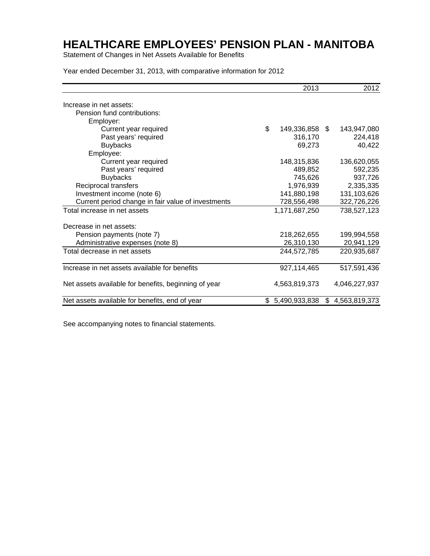Statement of Changes in Net Assets Available for Benefits

Year ended December 31, 2013, with comparative information for 2012

|                                                      |    | 2013           | 2012                |
|------------------------------------------------------|----|----------------|---------------------|
| Increase in net assets:                              |    |                |                     |
| Pension fund contributions:                          |    |                |                     |
| Employer:                                            |    |                |                     |
| Current year required                                | \$ | 149,336,858 \$ | 143,947,080         |
| Past years' required                                 |    | 316,170        | 224,418             |
| <b>Buybacks</b>                                      |    | 69,273         | 40,422              |
| Employee:                                            |    |                |                     |
| Current year required                                |    | 148,315,836    | 136,620,055         |
| Past years' required                                 |    | 489,852        | 592,235             |
| <b>Buybacks</b>                                      |    | 745,626        | 937,726             |
| Reciprocal transfers                                 |    | 1,976,939      | 2,335,335           |
| Investment income (note 6)                           |    | 141,880,198    | 131,103,626         |
| Current period change in fair value of investments   |    | 728,556,498    | 322,726,226         |
| Total increase in net assets                         |    | 1,171,687,250  | 738,527,123         |
| Decrease in net assets:                              |    |                |                     |
| Pension payments (note 7)                            |    | 218,262,655    | 199,994,558         |
| Administrative expenses (note 8)                     |    | 26,310,130     | 20,941,129          |
| Total decrease in net assets                         |    | 244,572,785    | 220,935,687         |
| Increase in net assets available for benefits        |    | 927,114,465    | 517,591,436         |
| Net assets available for benefits, beginning of year |    | 4,563,819,373  | 4,046,227,937       |
| Net assets available for benefits, end of year       | S. | 5,490,933,838  | \$<br>4,563,819,373 |

See accompanying notes to financial statements.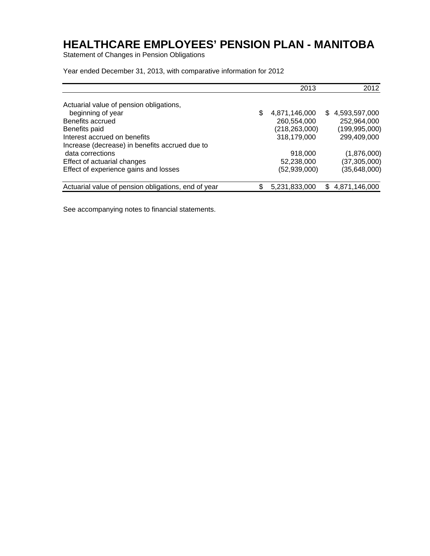Statement of Changes in Pension Obligations

Year ended December 31, 2013, with comparative information for 2012

|                                                     |    | 2013            | 2012            |
|-----------------------------------------------------|----|-----------------|-----------------|
| Actuarial value of pension obligations,             |    |                 |                 |
| beginning of year                                   | \$ | 4,871,146,000   | \$4,593,597,000 |
| Benefits accrued                                    |    | 260,554,000     | 252,964,000     |
| Benefits paid                                       |    | (218, 263, 000) | (199, 995, 000) |
| Interest accrued on benefits                        |    | 318,179,000     | 299,409,000     |
| Increase (decrease) in benefits accrued due to      |    |                 |                 |
| data corrections                                    |    | 918,000         | (1,876,000)     |
| Effect of actuarial changes                         |    | 52,238,000      | (37, 305, 000)  |
| Effect of experience gains and losses               |    | (52,939,000)    | (35,648,000)    |
| Actuarial value of pension obligations, end of year | S  | 5,231,833,000   | \$4,871,146,000 |

See accompanying notes to financial statements.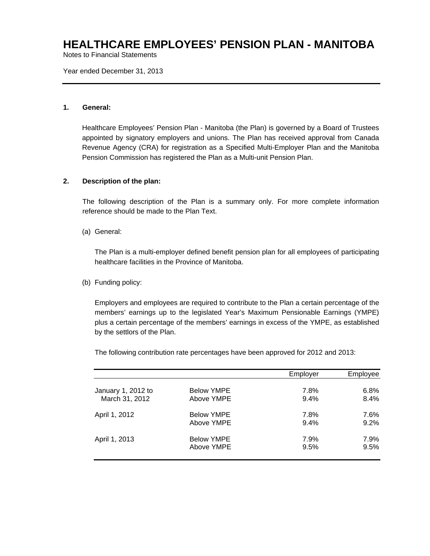Notes to Financial Statements

Year ended December 31, 2013

### **1. General:**

Healthcare Employees' Pension Plan - Manitoba (the Plan) is governed by a Board of Trustees appointed by signatory employers and unions. The Plan has received approval from Canada Revenue Agency (CRA) for registration as a Specified Multi-Employer Plan and the Manitoba Pension Commission has registered the Plan as a Multi-unit Pension Plan.

### **2. Description of the plan:**

The following description of the Plan is a summary only. For more complete information reference should be made to the Plan Text.

(a) General:

The Plan is a multi-employer defined benefit pension plan for all employees of participating healthcare facilities in the Province of Manitoba.

### (b) Funding policy:

Employers and employees are required to contribute to the Plan a certain percentage of the members' earnings up to the legislated Year's Maximum Pensionable Earnings (YMPE) plus a certain percentage of the members' earnings in excess of the YMPE, as established by the settlors of the Plan.

The following contribution rate percentages have been approved for 2012 and 2013:

|                    |                   | Employer | Emplovee |
|--------------------|-------------------|----------|----------|
| January 1, 2012 to | <b>Below YMPE</b> | 7.8%     | 6.8%     |
| March 31, 2012     | Above YMPE        | 9.4%     | 8.4%     |
| April 1, 2012      | <b>Below YMPE</b> | 7.8%     | 7.6%     |
|                    | Above YMPE        | 9.4%     | 9.2%     |
| April 1, 2013      | <b>Below YMPE</b> | 7.9%     | 7.9%     |
|                    | Above YMPE        | 9.5%     | 9.5%     |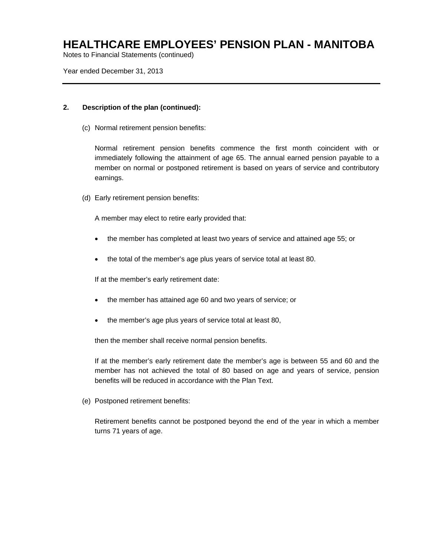Notes to Financial Statements (continued)

Year ended December 31, 2013

### **2. Description of the plan (continued):**

(c) Normal retirement pension benefits:

Normal retirement pension benefits commence the first month coincident with or immediately following the attainment of age 65. The annual earned pension payable to a member on normal or postponed retirement is based on years of service and contributory earnings.

(d) Early retirement pension benefits:

A member may elect to retire early provided that:

- the member has completed at least two years of service and attained age 55; or
- the total of the member's age plus years of service total at least 80.

If at the member's early retirement date:

- the member has attained age 60 and two years of service; or
- the member's age plus years of service total at least 80,

then the member shall receive normal pension benefits.

If at the member's early retirement date the member's age is between 55 and 60 and the member has not achieved the total of 80 based on age and years of service, pension benefits will be reduced in accordance with the Plan Text.

(e) Postponed retirement benefits:

Retirement benefits cannot be postponed beyond the end of the year in which a member turns 71 years of age.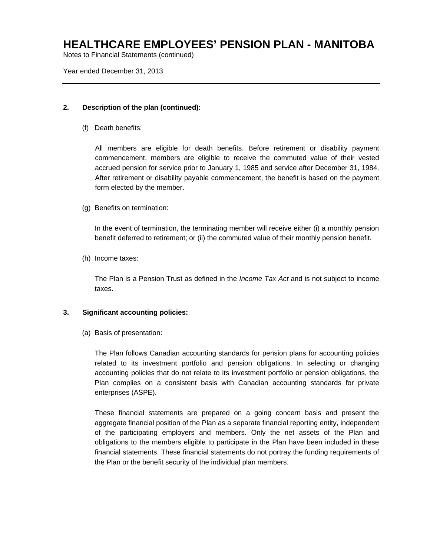Notes to Financial Statements (continued)

Year ended December 31, 2013

### **2. Description of the plan (continued):**

(f) Death benefits:

All members are eligible for death benefits. Before retirement or disability payment commencement, members are eligible to receive the commuted value of their vested accrued pension for service prior to January 1, 1985 and service after December 31, 1984. After retirement or disability payable commencement, the benefit is based on the payment form elected by the member.

(g) Benefits on termination:

In the event of termination, the terminating member will receive either (i) a monthly pension benefit deferred to retirement; or (ii) the commuted value of their monthly pension benefit.

(h) Income taxes:

The Plan is a Pension Trust as defined in the *Income Tax Act* and is not subject to income taxes.

### **3. Significant accounting policies:**

(a) Basis of presentation:

The Plan follows Canadian accounting standards for pension plans for accounting policies related to its investment portfolio and pension obligations. In selecting or changing accounting policies that do not relate to its investment portfolio or pension obligations, the Plan complies on a consistent basis with Canadian accounting standards for private enterprises (ASPE).

These financial statements are prepared on a going concern basis and present the aggregate financial position of the Plan as a separate financial reporting entity, independent of the participating employers and members. Only the net assets of the Plan and obligations to the members eligible to participate in the Plan have been included in these financial statements. These financial statements do not portray the funding requirements of the Plan or the benefit security of the individual plan members.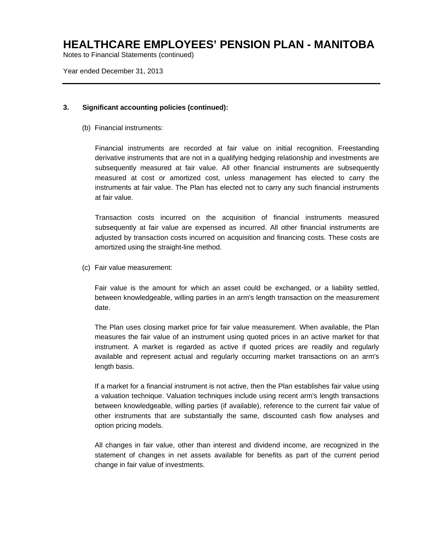Notes to Financial Statements (continued)

Year ended December 31, 2013

### **3. Significant accounting policies (continued):**

(b) Financial instruments:

Financial instruments are recorded at fair value on initial recognition. Freestanding derivative instruments that are not in a qualifying hedging relationship and investments are subsequently measured at fair value. All other financial instruments are subsequently measured at cost or amortized cost, unless management has elected to carry the instruments at fair value. The Plan has elected not to carry any such financial instruments at fair value.

Transaction costs incurred on the acquisition of financial instruments measured subsequently at fair value are expensed as incurred. All other financial instruments are adjusted by transaction costs incurred on acquisition and financing costs. These costs are amortized using the straight-line method.

(c) Fair value measurement:

Fair value is the amount for which an asset could be exchanged, or a liability settled, between knowledgeable, willing parties in an arm's length transaction on the measurement date.

The Plan uses closing market price for fair value measurement. When available, the Plan measures the fair value of an instrument using quoted prices in an active market for that instrument. A market is regarded as active if quoted prices are readily and regularly available and represent actual and regularly occurring market transactions on an arm's length basis.

If a market for a financial instrument is not active, then the Plan establishes fair value using a valuation technique. Valuation techniques include using recent arm's length transactions between knowledgeable, willing parties (if available), reference to the current fair value of other instruments that are substantially the same, discounted cash flow analyses and option pricing models.

All changes in fair value, other than interest and dividend income, are recognized in the statement of changes in net assets available for benefits as part of the current period change in fair value of investments.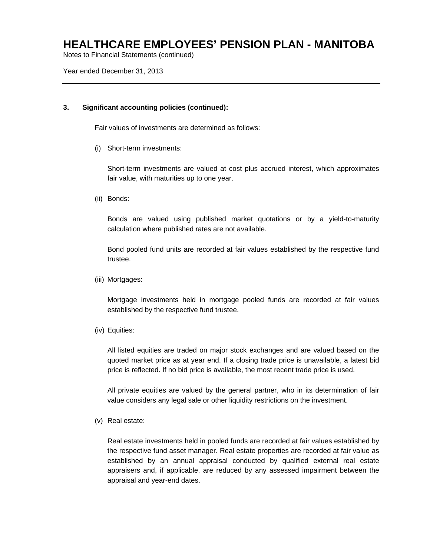Notes to Financial Statements (continued)

Year ended December 31, 2013

### **3. Significant accounting policies (continued):**

Fair values of investments are determined as follows:

(i) Short-term investments:

Short-term investments are valued at cost plus accrued interest, which approximates fair value, with maturities up to one year.

(ii) Bonds:

Bonds are valued using published market quotations or by a yield-to-maturity calculation where published rates are not available.

Bond pooled fund units are recorded at fair values established by the respective fund trustee.

(iii) Mortgages:

Mortgage investments held in mortgage pooled funds are recorded at fair values established by the respective fund trustee.

(iv) Equities:

All listed equities are traded on major stock exchanges and are valued based on the quoted market price as at year end. If a closing trade price is unavailable, a latest bid price is reflected. If no bid price is available, the most recent trade price is used.

All private equities are valued by the general partner, who in its determination of fair value considers any legal sale or other liquidity restrictions on the investment.

(v) Real estate:

Real estate investments held in pooled funds are recorded at fair values established by the respective fund asset manager. Real estate properties are recorded at fair value as established by an annual appraisal conducted by qualified external real estate appraisers and, if applicable, are reduced by any assessed impairment between the appraisal and year-end dates.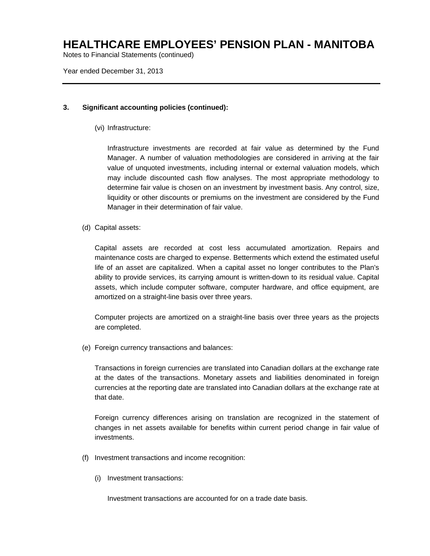Notes to Financial Statements (continued)

Year ended December 31, 2013

### **3. Significant accounting policies (continued):**

(vi) Infrastructure:

Infrastructure investments are recorded at fair value as determined by the Fund Manager. A number of valuation methodologies are considered in arriving at the fair value of unquoted investments, including internal or external valuation models, which may include discounted cash flow analyses. The most appropriate methodology to determine fair value is chosen on an investment by investment basis. Any control, size, liquidity or other discounts or premiums on the investment are considered by the Fund Manager in their determination of fair value.

(d) Capital assets:

Capital assets are recorded at cost less accumulated amortization. Repairs and maintenance costs are charged to expense. Betterments which extend the estimated useful life of an asset are capitalized. When a capital asset no longer contributes to the Plan's ability to provide services, its carrying amount is written-down to its residual value. Capital assets, which include computer software, computer hardware, and office equipment, are amortized on a straight-line basis over three years.

Computer projects are amortized on a straight-line basis over three years as the projects are completed.

(e) Foreign currency transactions and balances:

Transactions in foreign currencies are translated into Canadian dollars at the exchange rate at the dates of the transactions. Monetary assets and liabilities denominated in foreign currencies at the reporting date are translated into Canadian dollars at the exchange rate at that date.

Foreign currency differences arising on translation are recognized in the statement of changes in net assets available for benefits within current period change in fair value of investments.

- (f) Investment transactions and income recognition:
	- (i) Investment transactions:

Investment transactions are accounted for on a trade date basis.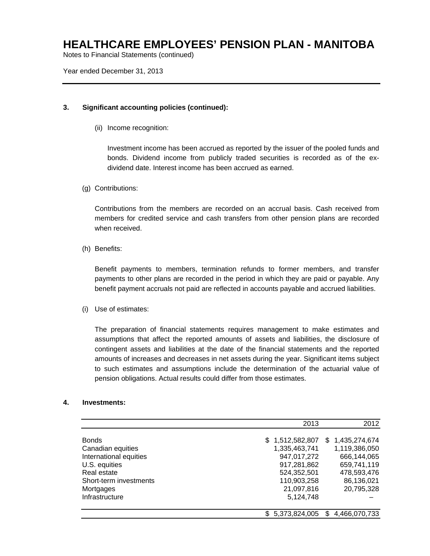Notes to Financial Statements (continued)

Year ended December 31, 2013

### **3. Significant accounting policies (continued):**

(ii) Income recognition:

Investment income has been accrued as reported by the issuer of the pooled funds and bonds. Dividend income from publicly traded securities is recorded as of the exdividend date. Interest income has been accrued as earned.

(g) Contributions:

Contributions from the members are recorded on an accrual basis. Cash received from members for credited service and cash transfers from other pension plans are recorded when received.

(h) Benefits:

Benefit payments to members, termination refunds to former members, and transfer payments to other plans are recorded in the period in which they are paid or payable. Any benefit payment accruals not paid are reflected in accounts payable and accrued liabilities.

(i) Use of estimates:

The preparation of financial statements requires management to make estimates and assumptions that affect the reported amounts of assets and liabilities, the disclosure of contingent assets and liabilities at the date of the financial statements and the reported amounts of increases and decreases in net assets during the year. Significant items subject to such estimates and assumptions include the determination of the actuarial value of pension obligations. Actual results could differ from those estimates.

### **4. Investments:**

|                        | 2013             | 2012                 |
|------------------------|------------------|----------------------|
| <b>Bonds</b>           | \$1,512,582,807  | \$1,435,274,674      |
| Canadian equities      | 1,335,463,741    | 1,119,386,050        |
| International equities | 947,017,272      | 666,144,065          |
| U.S. equities          | 917,281,862      | 659,741,119          |
| Real estate            | 524,352,501      | 478,593,476          |
| Short-term investments | 110,903,258      | 86,136,021           |
| Mortgages              | 21,097,816       | 20,795,328           |
| Infrastructure         | 5,124,748        |                      |
|                        | \$ 5,373,824,005 | 4,466,070,733<br>\$. |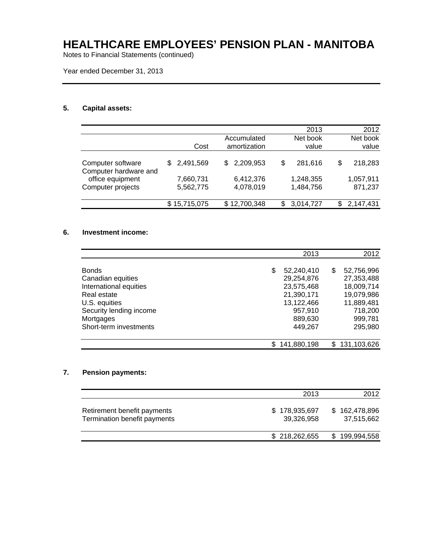Notes to Financial Statements (continued)

Year ended December 31, 2013

### **5. Capital assets:**

|           |                             |           |                                                                       | 2013      |                      | 2012      |
|-----------|-----------------------------|-----------|-----------------------------------------------------------------------|-----------|----------------------|-----------|
|           |                             |           |                                                                       | Net book  |                      | Net book  |
| Cost      |                             |           |                                                                       | value     |                      | value     |
|           |                             |           |                                                                       |           |                      |           |
|           | SS.                         |           | \$                                                                    |           | \$                   | 218,283   |
|           |                             |           |                                                                       |           |                      |           |
| 7,660,731 |                             |           |                                                                       |           |                      | 1,057,911 |
| 5,562,775 |                             | 4,078,019 |                                                                       | 1,484,756 |                      | 871,237   |
|           |                             |           |                                                                       |           |                      |           |
|           |                             |           | S                                                                     | 3,014,727 | S                    | 2,147,431 |
|           | \$2,491,569<br>\$15,715,075 |           | Accumulated<br>amortization<br>2,209,953<br>6,412,376<br>\$12,700,348 |           | 281,616<br>1,248,355 |           |

### **6. Investment income:**

|                         | 2013             |   | 2012          |
|-------------------------|------------------|---|---------------|
|                         |                  |   |               |
| <b>Bonds</b>            | \$<br>52,240,410 | S | 52,756,996    |
| Canadian equities       | 29,254,876       |   | 27,353,488    |
| International equities  | 23,575,468       |   | 18,009,714    |
| Real estate             | 21,390,171       |   | 19,079,986    |
| U.S. equities           | 13,122,466       |   | 11,889,481    |
| Security lending income | 957.910          |   | 718,200       |
| Mortgages               | 889,630          |   | 999,781       |
| Short-term investments  | 449.267          |   | 295,980       |
|                         | 141,880,198      |   | \$131,103,626 |

### **7. Pension payments:**

|                                                             | 2013                        | 2012                        |
|-------------------------------------------------------------|-----------------------------|-----------------------------|
| Retirement benefit payments<br>Termination benefit payments | \$178,935,697<br>39,326,958 | \$162,478,896<br>37.515.662 |
|                                                             | \$218,262,655               | \$199,994,558               |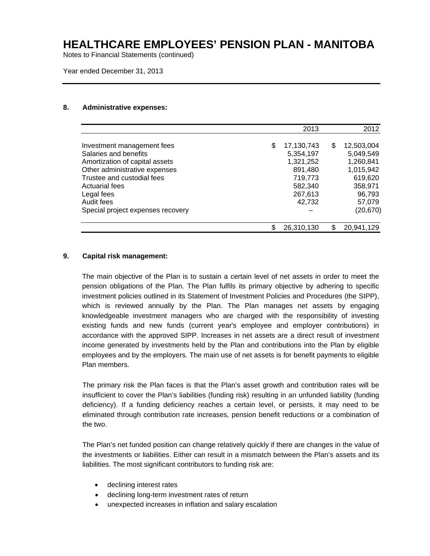Notes to Financial Statements (continued)

Year ended December 31, 2013

#### **8. Administrative expenses:**

|                                   |   | 2013       |    | 2012       |
|-----------------------------------|---|------------|----|------------|
| Investment management fees        | S | 17,130,743 | S  | 12,503,004 |
| Salaries and benefits             |   | 5,354,197  |    | 5,049,549  |
| Amortization of capital assets    |   | 1,321,252  |    | 1,260,841  |
| Other administrative expenses     |   | 891,480    |    | 1,015,942  |
| Trustee and custodial fees        |   | 719,773    |    | 619,620    |
| Actuarial fees                    |   | 582,340    |    | 358,971    |
| Legal fees                        |   | 267,613    |    | 96,793     |
| Audit fees                        |   | 42,732     |    | 57,079     |
| Special project expenses recovery |   |            |    | (20, 670)  |
|                                   |   | 26,310,130 | \$ | 20,941,129 |

### **9. Capital risk management:**

The main objective of the Plan is to sustain a certain level of net assets in order to meet the pension obligations of the Plan. The Plan fulfils its primary objective by adhering to specific investment policies outlined in its Statement of Investment Policies and Procedures (the SIPP), which is reviewed annually by the Plan. The Plan manages net assets by engaging knowledgeable investment managers who are charged with the responsibility of investing existing funds and new funds (current year's employee and employer contributions) in accordance with the approved SIPP. Increases in net assets are a direct result of investment income generated by investments held by the Plan and contributions into the Plan by eligible employees and by the employers. The main use of net assets is for benefit payments to eligible Plan members.

The primary risk the Plan faces is that the Plan's asset growth and contribution rates will be insufficient to cover the Plan's liabilities (funding risk) resulting in an unfunded liability (funding deficiency). If a funding deficiency reaches a certain level, or persists, it may need to be eliminated through contribution rate increases, pension benefit reductions or a combination of the two.

The Plan's net funded position can change relatively quickly if there are changes in the value of the investments or liabilities. Either can result in a mismatch between the Plan's assets and its liabilities. The most significant contributors to funding risk are:

- declining interest rates
- declining long-term investment rates of return
- unexpected increases in inflation and salary escalation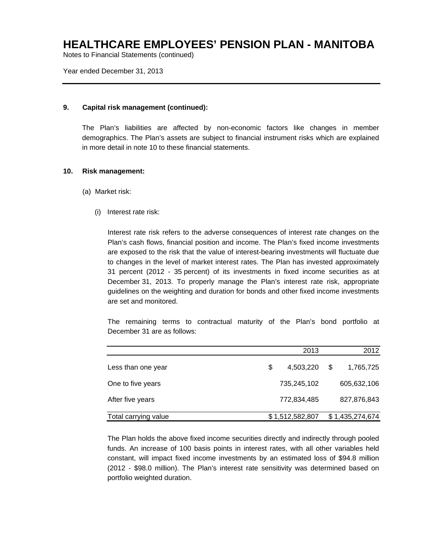Notes to Financial Statements (continued)

Year ended December 31, 2013

### **9. Capital risk management (continued):**

The Plan's liabilities are affected by non-economic factors like changes in member demographics. The Plan's assets are subject to financial instrument risks which are explained in more detail in note 10 to these financial statements.

### **10. Risk management:**

- (a) Market risk:
	- (i) Interest rate risk:

Interest rate risk refers to the adverse consequences of interest rate changes on the Plan's cash flows, financial position and income. The Plan's fixed income investments are exposed to the risk that the value of interest-bearing investments will fluctuate due to changes in the level of market interest rates. The Plan has invested approximately 31 percent (2012 - 35 percent) of its investments in fixed income securities as at December 31, 2013. To properly manage the Plan's interest rate risk, appropriate guidelines on the weighting and duration for bonds and other fixed income investments are set and monitored.

The remaining terms to contractual maturity of the Plan's bond portfolio at December 31 are as follows:

|                      | 2013            |   | 2012            |
|----------------------|-----------------|---|-----------------|
| Less than one year   | \$<br>4,503,220 | S | 1,765,725       |
| One to five years    | 735,245,102     |   | 605,632,106     |
| After five years     | 772,834,485     |   | 827,876,843     |
| Total carrying value | \$1,512,582,807 |   | \$1,435,274,674 |

The Plan holds the above fixed income securities directly and indirectly through pooled funds. An increase of 100 basis points in interest rates, with all other variables held constant, will impact fixed income investments by an estimated loss of \$94.8 million (2012 - \$98.0 million). The Plan's interest rate sensitivity was determined based on portfolio weighted duration.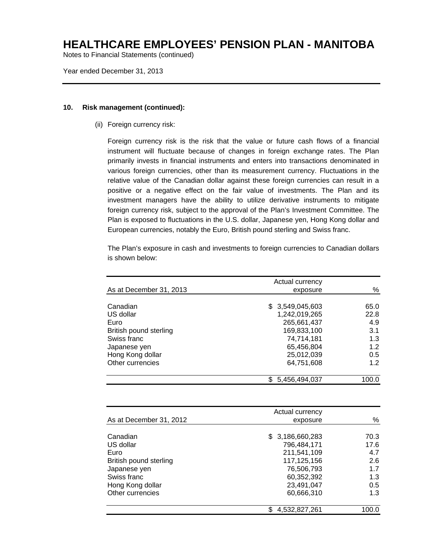Notes to Financial Statements (continued)

Year ended December 31, 2013

#### **10. Risk management (continued):**

(ii) Foreign currency risk:

Foreign currency risk is the risk that the value or future cash flows of a financial instrument will fluctuate because of changes in foreign exchange rates. The Plan primarily invests in financial instruments and enters into transactions denominated in various foreign currencies, other than its measurement currency. Fluctuations in the relative value of the Canadian dollar against these foreign currencies can result in a positive or a negative effect on the fair value of investments. The Plan and its investment managers have the ability to utilize derivative instruments to mitigate foreign currency risk, subject to the approval of the Plan's Investment Committee. The Plan is exposed to fluctuations in the U.S. dollar, Japanese yen, Hong Kong dollar and European currencies, notably the Euro, British pound sterling and Swiss franc.

The Plan's exposure in cash and investments to foreign currencies to Canadian dollars is shown below:

|                         | Actual currency |       |
|-------------------------|-----------------|-------|
| As at December 31, 2013 | exposure        | %     |
|                         |                 |       |
| Canadian                | \$3,549,045,603 | 65.0  |
| US dollar               | 1,242,019,265   | 22.8  |
| Euro                    | 265,661,437     | 4.9   |
| British pound sterling  | 169,833,100     | 3.1   |
| Swiss franc             | 74,714,181      | 1.3   |
| Japanese yen            | 65,456,804      | 1.2   |
| Hong Kong dollar        | 25,012,039      | 0.5   |
| Other currencies        | 64,751,608      | 1.2   |
|                         | 5,456,494,037   | 100.0 |

| As at December 31, 2012                                                                                                        | Actual currency<br>exposure                                                                                           | %                                                      |
|--------------------------------------------------------------------------------------------------------------------------------|-----------------------------------------------------------------------------------------------------------------------|--------------------------------------------------------|
| Canadian<br>US dollar<br>Euro<br>British pound sterling<br>Japanese yen<br>Swiss franc<br>Hong Kong dollar<br>Other currencies | \$ 3,186,660,283<br>796,484,171<br>211,541,109<br>117,125,156<br>76,506,793<br>60,352,392<br>23,491,047<br>60,666,310 | 70.3<br>17.6<br>4.7<br>2.6<br>1.7<br>1.3<br>0.5<br>1.3 |
|                                                                                                                                | 4,532,827,261                                                                                                         | 100.0                                                  |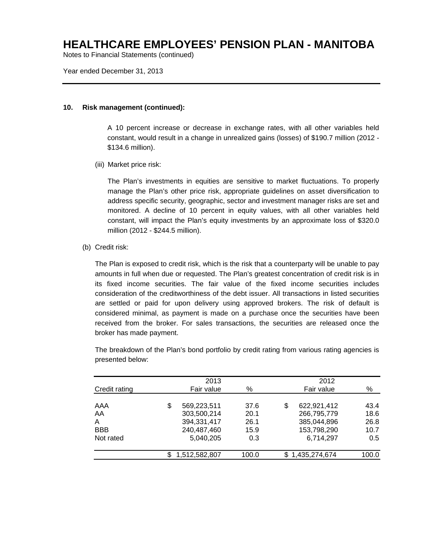Notes to Financial Statements (continued)

Year ended December 31, 2013

#### **10. Risk management (continued):**

A 10 percent increase or decrease in exchange rates, with all other variables held constant, would result in a change in unrealized gains (losses) of \$190.7 million (2012 - \$134.6 million).

(iii) Market price risk:

The Plan's investments in equities are sensitive to market fluctuations. To properly manage the Plan's other price risk, appropriate guidelines on asset diversification to address specific security, geographic, sector and investment manager risks are set and monitored. A decline of 10 percent in equity values, with all other variables held constant, will impact the Plan's equity investments by an approximate loss of \$320.0 million (2012 - \$244.5 million).

(b) Credit risk:

The Plan is exposed to credit risk, which is the risk that a counterparty will be unable to pay amounts in full when due or requested. The Plan's greatest concentration of credit risk is in its fixed income securities. The fair value of the fixed income securities includes consideration of the creditworthiness of the debt issuer. All transactions in listed securities are settled or paid for upon delivery using approved brokers. The risk of default is considered minimal, as payment is made on a purchase once the securities have been received from the broker. For sales transactions, the securities are released once the broker has made payment.

|               | 2013              |       |    | 2012          |       |
|---------------|-------------------|-------|----|---------------|-------|
| Credit rating | Fair value        | %     |    | Fair value    | $\%$  |
| AAA           | \$<br>569,223,511 | 37.6  | \$ | 622,921,412   | 43.4  |
| AA            | 303,500,214       | 20.1  |    | 266,795,779   | 18.6  |
| A             | 394,331,417       | 26.1  |    | 385,044,896   | 26.8  |
| <b>BBB</b>    | 240,487,460       | 15.9  |    | 153,798,290   | 10.7  |
| Not rated     | 5,040,205         | 0.3   |    | 6,714,297     | 0.5   |
|               | 1,512,582,807     | 100.0 | S. | 1,435,274,674 | 100.0 |

The breakdown of the Plan's bond portfolio by credit rating from various rating agencies is presented below: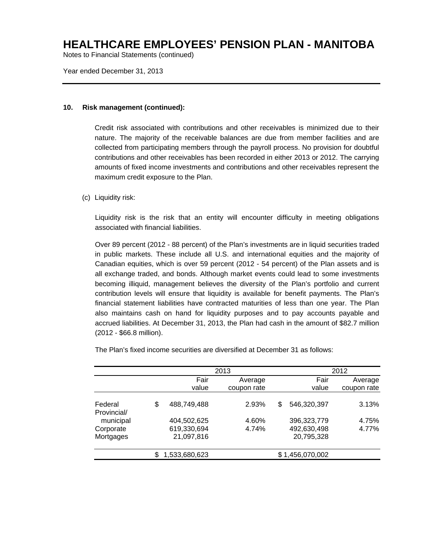Notes to Financial Statements (continued)

Year ended December 31, 2013

### **10. Risk management (continued):**

Credit risk associated with contributions and other receivables is minimized due to their nature. The majority of the receivable balances are due from member facilities and are collected from participating members through the payroll process. No provision for doubtful contributions and other receivables has been recorded in either 2013 or 2012. The carrying amounts of fixed income investments and contributions and other receivables represent the maximum credit exposure to the Plan.

### (c) Liquidity risk:

Liquidity risk is the risk that an entity will encounter difficulty in meeting obligations associated with financial liabilities.

Over 89 percent (2012 - 88 percent) of the Plan's investments are in liquid securities traded in public markets. These include all U.S. and international equities and the majority of Canadian equities, which is over 59 percent (2012 - 54 percent) of the Plan assets and is all exchange traded, and bonds. Although market events could lead to some investments becoming illiquid, management believes the diversity of the Plan's portfolio and current contribution levels will ensure that liquidity is available for benefit payments. The Plan's financial statement liabilities have contracted maturities of less than one year. The Plan also maintains cash on hand for liquidity purposes and to pay accounts payable and accrued liabilities. At December 31, 2013, the Plan had cash in the amount of \$82.7 million (2012 - \$66.8 million).

The Plan's fixed income securities are diversified at December 31 as follows:

|                        |                           | 2013        | 2012                      |             |  |  |
|------------------------|---------------------------|-------------|---------------------------|-------------|--|--|
|                        | Fair                      | Average     | Fair                      | Average     |  |  |
|                        | value                     | coupon rate | value                     | coupon rate |  |  |
| Federal<br>Provincial/ | \$<br>488,749,488         | 2.93%       | \$<br>546,320,397         | 3.13%       |  |  |
| municipal              | 404,502,625               | 4.60%       | 396,323,779               | 4.75%       |  |  |
| Corporate<br>Mortgages | 619,330,694<br>21,097,816 | 4.74%       | 492,630,498<br>20,795,328 | 4.77%       |  |  |
|                        | 1,533,680,623             |             | \$1,456,070,002           |             |  |  |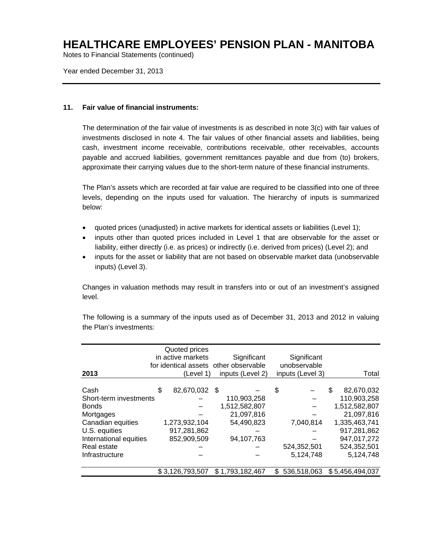Notes to Financial Statements (continued)

Year ended December 31, 2013

#### **11. Fair value of financial instruments:**

The determination of the fair value of investments is as described in note 3(c) with fair values of investments disclosed in note 4. The fair values of other financial assets and liabilities, being cash, investment income receivable, contributions receivable, other receivables, accounts payable and accrued liabilities, government remittances payable and due from (to) brokers, approximate their carrying values due to the short-term nature of these financial instruments.

The Plan's assets which are recorded at fair value are required to be classified into one of three levels, depending on the inputs used for valuation. The hierarchy of inputs is summarized below:

- quoted prices (unadjusted) in active markets for identical assets or liabilities (Level 1);
- inputs other than quoted prices included in Level 1 that are observable for the asset or liability, either directly (i.e. as prices) or indirectly (i.e. derived from prices) (Level 2); and
- inputs for the asset or liability that are not based on observable market data (unobservable inputs) (Level 3).

Changes in valuation methods may result in transfers into or out of an investment's assigned level.

| 2013                   | Quoted prices<br>in active markets<br>(Level 1) | Significant<br>for identical assets other observable<br>inputs (Level 2) |     | Significant<br>unobservable<br>inputs (Level 3) | Total            |
|------------------------|-------------------------------------------------|--------------------------------------------------------------------------|-----|-------------------------------------------------|------------------|
| Cash                   | \$<br>82,670,032 \$                             |                                                                          | \$  |                                                 | \$<br>82,670,032 |
| Short-term investments |                                                 | 110,903,258                                                              |     |                                                 | 110,903,258      |
| <b>Bonds</b>           |                                                 | 1,512,582,807                                                            |     |                                                 | 1,512,582,807    |
| Mortgages              |                                                 | 21,097,816                                                               |     |                                                 | 21,097,816       |
| Canadian equities      | 1,273,932,104                                   | 54,490,823                                                               |     | 7,040,814                                       | 1,335,463,741    |
| U.S. equities          | 917,281,862                                     |                                                                          |     |                                                 | 917,281,862      |
| International equities | 852,909,509                                     | 94,107,763                                                               |     |                                                 | 947,017,272      |
| Real estate            |                                                 |                                                                          |     | 524,352,501                                     | 524,352,501      |
| Infrastructure         |                                                 |                                                                          |     | 5,124,748                                       | 5,124,748        |
|                        | \$3,126,793,507                                 | \$1,793,182,467                                                          | \$. | 536,518,063                                     | \$5,456,494,037  |

The following is a summary of the inputs used as of December 31, 2013 and 2012 in valuing the Plan's investments: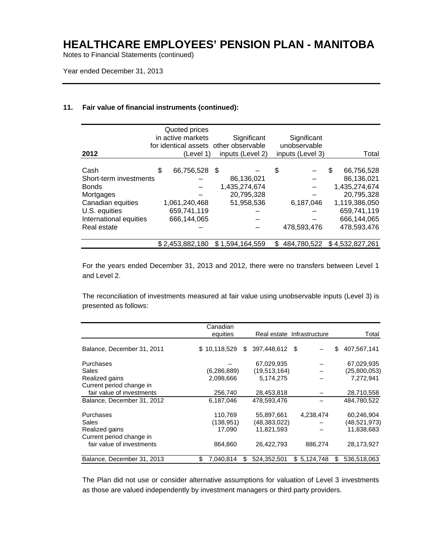Notes to Financial Statements (continued)

Year ended December 31, 2013

#### **11. Fair value of financial instruments (continued):**

| 2012                   | Quoted prices<br>in active markets<br>(Level 1) | Significant<br>for identical assets other observable<br>inputs (Level 2) |    | Significant<br>unobservable<br>inputs (Level 3) |     | Total           |
|------------------------|-------------------------------------------------|--------------------------------------------------------------------------|----|-------------------------------------------------|-----|-----------------|
|                        |                                                 |                                                                          |    |                                                 |     |                 |
| Cash                   | \$<br>66,756,528                                | - \$                                                                     | \$ |                                                 | \$. | 66,756,528      |
| Short-term investments |                                                 | 86.136.021                                                               |    |                                                 |     | 86.136.021      |
| <b>Bonds</b>           |                                                 | 1,435,274,674                                                            |    |                                                 |     | 1,435,274,674   |
| Mortgages              |                                                 | 20,795,328                                                               |    |                                                 |     | 20,795,328      |
| Canadian equities      | 1,061,240,468                                   | 51,958,536                                                               |    | 6,187,046                                       |     | 1,119,386,050   |
| U.S. equities          | 659,741,119                                     |                                                                          |    |                                                 |     | 659,741,119     |
| International equities | 666,144,065                                     |                                                                          |    |                                                 |     | 666,144,065     |
| Real estate            |                                                 |                                                                          |    | 478,593,476                                     |     | 478,593,476     |
|                        |                                                 |                                                                          |    |                                                 |     |                 |
|                        | \$2,453,882,180                                 | \$1,594,164,559                                                          | S  | 484,780,522                                     |     | \$4,532,827,261 |

For the years ended December 31, 2013 and 2012, there were no transfers between Level 1 and Level 2.

The reconciliation of investments measured at fair value using unobservable inputs (Level 3) is presented as follows:

|                            | Canadian        |     |                |                            |    |              |
|----------------------------|-----------------|-----|----------------|----------------------------|----|--------------|
|                            | equities        |     |                | Real estate Infrastructure |    | Total        |
| Balance, December 31, 2011 | \$10,118,529    | \$. | 397,448,612 \$ |                            | \$ | 407,567,141  |
| Purchases                  |                 |     | 67,029,935     |                            |    | 67,029,935   |
| Sales                      | (6, 286, 889)   |     | (19, 513, 164) |                            |    | (25,800,053) |
| Realized gains             | 2,098,666       |     | 5,174,275      |                            |    | 7,272,941    |
| Current period change in   |                 |     |                |                            |    |              |
| fair value of investments  | 256,740         |     | 28,453,818     |                            |    | 28,710,558   |
| Balance, December 31, 2012 | 6,187,046       |     | 478.593.476    |                            |    | 484.780.522  |
| Purchases                  | 110,769         |     | 55,897,661     | 4,238,474                  |    | 60,246,904   |
| Sales                      | (138, 951)      |     | (48, 383, 022) |                            |    | (48,521,973) |
| Realized gains             | 17,090          |     | 11,821,593     |                            |    | 11,838,683   |
| Current period change in   |                 |     |                |                            |    |              |
| fair value of investments  | 864,860         |     | 26,422,793     | 886,274                    |    | 28,173,927   |
| Balance, December 31, 2013 | \$<br>7,040,814 | \$  | 524,352,501    | \$5,124,748                | S  | 536,518,063  |

The Plan did not use or consider alternative assumptions for valuation of Level 3 investments as those are valued independently by investment managers or third party providers.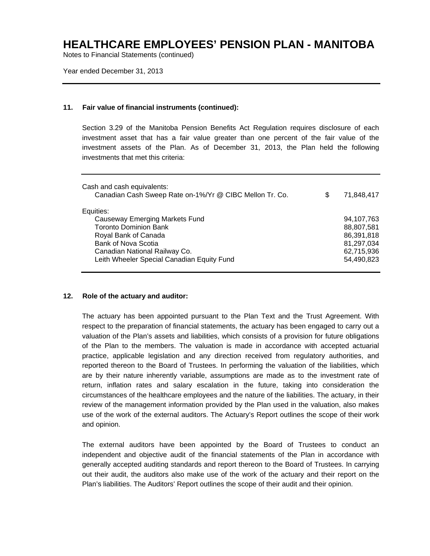Notes to Financial Statements (continued)

Year ended December 31, 2013

### **11. Fair value of financial instruments (continued):**

Section 3.29 of the Manitoba Pension Benefits Act Regulation requires disclosure of each investment asset that has a fair value greater than one percent of the fair value of the investment assets of the Plan. As of December 31, 2013, the Plan held the following investments that met this criteria:

| Cash and cash equivalents:<br>Canadian Cash Sweep Rate on-1%/Yr @ CIBC Mellon Tr. Co.                                             | S | 71,848,417                                           |
|-----------------------------------------------------------------------------------------------------------------------------------|---|------------------------------------------------------|
| Equities:<br>Causeway Emerging Markets Fund<br><b>Toronto Dominion Bank</b><br>Royal Bank of Canada<br><b>Bank of Nova Scotia</b> |   | 94,107,763<br>88,807,581<br>86,391,818<br>81,297,034 |
| Canadian National Railway Co.<br>Leith Wheeler Special Canadian Equity Fund                                                       |   | 62,715,936<br>54,490,823                             |

### **12. Role of the actuary and auditor:**

The actuary has been appointed pursuant to the Plan Text and the Trust Agreement. With respect to the preparation of financial statements, the actuary has been engaged to carry out a valuation of the Plan's assets and liabilities, which consists of a provision for future obligations of the Plan to the members. The valuation is made in accordance with accepted actuarial practice, applicable legislation and any direction received from regulatory authorities, and reported thereon to the Board of Trustees. In performing the valuation of the liabilities, which are by their nature inherently variable, assumptions are made as to the investment rate of return, inflation rates and salary escalation in the future, taking into consideration the circumstances of the healthcare employees and the nature of the liabilities. The actuary, in their review of the management information provided by the Plan used in the valuation, also makes use of the work of the external auditors. The Actuary's Report outlines the scope of their work and opinion.

The external auditors have been appointed by the Board of Trustees to conduct an independent and objective audit of the financial statements of the Plan in accordance with generally accepted auditing standards and report thereon to the Board of Trustees. In carrying out their audit, the auditors also make use of the work of the actuary and their report on the Plan's liabilities. The Auditors' Report outlines the scope of their audit and their opinion.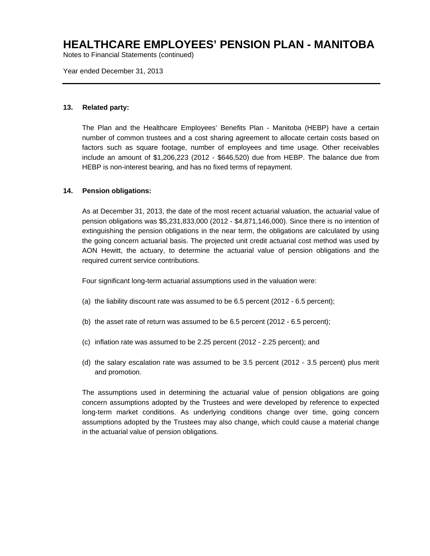Notes to Financial Statements (continued)

Year ended December 31, 2013

### **13. Related party:**

The Plan and the Healthcare Employees' Benefits Plan - Manitoba (HEBP) have a certain number of common trustees and a cost sharing agreement to allocate certain costs based on factors such as square footage, number of employees and time usage. Other receivables include an amount of \$1,206,223 (2012 - \$646,520) due from HEBP. The balance due from HEBP is non-interest bearing, and has no fixed terms of repayment.

### **14. Pension obligations:**

As at December 31, 2013, the date of the most recent actuarial valuation, the actuarial value of pension obligations was \$5,231,833,000 (2012 - \$4,871,146,000). Since there is no intention of extinguishing the pension obligations in the near term, the obligations are calculated by using the going concern actuarial basis. The projected unit credit actuarial cost method was used by AON Hewitt, the actuary, to determine the actuarial value of pension obligations and the required current service contributions.

Four significant long-term actuarial assumptions used in the valuation were:

- (a) the liability discount rate was assumed to be 6.5 percent (2012 6.5 percent);
- (b) the asset rate of return was assumed to be 6.5 percent (2012 6.5 percent);
- (c) inflation rate was assumed to be 2.25 percent (2012 2.25 percent); and
- (d) the salary escalation rate was assumed to be 3.5 percent (2012 3.5 percent) plus merit and promotion.

The assumptions used in determining the actuarial value of pension obligations are going concern assumptions adopted by the Trustees and were developed by reference to expected long-term market conditions. As underlying conditions change over time, going concern assumptions adopted by the Trustees may also change, which could cause a material change in the actuarial value of pension obligations.